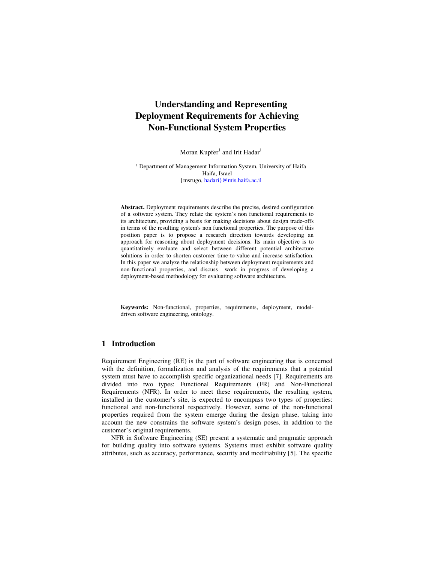# **Understanding and Representing Deployment Requirements for Achieving Non-Functional System Properties**

Moran  $Kupfer^1$  and Irit Hadar $^1$ 

<sup>1</sup> Department of Management Information System, University of Haifa Haifa, Israel {msrugo, hadari}@mis.haifa.ac.il

**Abstract.** Deployment requirements describe the precise, desired configuration of a software system. They relate the system's non functional requirements to its architecture, providing a basis for making decisions about design trade-offs in terms of the resulting system's non functional properties. The purpose of this position paper is to propose a research direction towards developing an approach for reasoning about deployment decisions. Its main objective is to quantitatively evaluate and select between different potential architecture solutions in order to shorten customer time-to-value and increase satisfaction. In this paper we analyze the relationship between deployment requirements and non-functional properties, and discuss work in progress of developing a deployment-based methodology for evaluating software architecture.

**Keywords:** Non-functional, properties, requirements, deployment, modeldriven software engineering, ontology.

## **1 Introduction**

Requirement Engineering (RE) is the part of software engineering that is concerned with the definition, formalization and analysis of the requirements that a potential system must have to accomplish specific organizational needs [7]. Requirements are divided into two types: Functional Requirements (FR) and Non-Functional Requirements (NFR). In order to meet these requirements, the resulting system, installed in the customer's site, is expected to encompass two types of properties: functional and non-functional respectively. However, some of the non-functional properties required from the system emerge during the design phase, taking into account the new constrains the software system's design poses, in addition to the customer's original requirements.

NFR in Software Engineering (SE) present a systematic and pragmatic approach for building quality into software systems. Systems must exhibit software quality attributes, such as accuracy, performance, security and modifiability [5]. The specific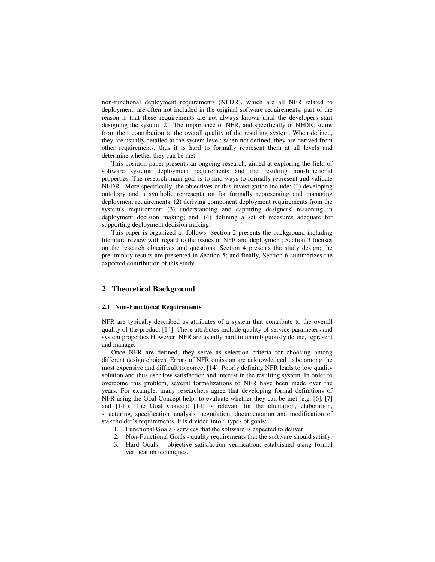non-functional deployment requirements (NFDR), which are all NFR related to deployment, are often not included in the original software requirements; part of the reason is that these requirements are not always known until the developers start designing the system [2]. The importance of NFR, and specifically of NFDR, stems from their contribution to the overall quality of the resulting system. When defined, they are usually detailed at the system level; when not defined, they are derived from other requirements, thus it is hard to formally represent them at all levels and determine whether they can be met.

This position paper presents an ongoing research, aimed at exploring the field of software systems deployment requirements and the resulting non-functional properties. The research main goal is to find ways to formally represent and validate NFDR. More specifically, the objectives of this investigation include: (1) developing ontology and a symbolic representation for formally representing and managing deployment requirements; (2) deriving component deployment requirements from the system's requirement; (3) understanding and capturing designers' reasoning in deployment decision making; and, (4) defining a set of measures adequate for supporting deployment decision making.

This paper is organized as follows: Section 2 presents the background including literature review with regard to the issues of NFR and deployment; Section 3 focuses on the research objectives and questions; Section 4 presents the study design; the preliminary results are presented in Section 5; and finally, Section 6 summarizes the expected contribution of this study.

## **2 Theoretical Background**

#### **2.1 Non-Functional Requirements**

NFR are typically described as attributes of a system that contribute to the overall quality of the product [14]. These attributes include quality of service parameters and system properties However, NFR are usually hard to unambiguously define, represent and manage.

Once NFR are defined, they serve as selection criteria for choosing among different design choices. Errors of NFR omission are acknowledged to be among the most expensive and difficult to correct [14]. Poorly defining NFR leads to low quality solution and thus user low satisfaction and interest in the resulting system. In order to overcome this problem, several formalizations to NFR have been made over the years. For example, many researchers agree that developing formal definitions of NFR using the Goal Concept helps to evaluate whether they can be met (e.g. [6], [7] and [14]). The Goal Concept [14] is relevant for the elicitation, elaboration, structuring, specification, analysis, negotiation, documentation and modification of stakeholder's requirements. It is divided into 4 types of goals:

- 1. Functional Goals services that the software is expected to deliver.
- 2. Non-Functional Goals quality requirements that the software should satisfy.
- 3. Hard Goals objective satisfaction verification, established using formal verification techniques.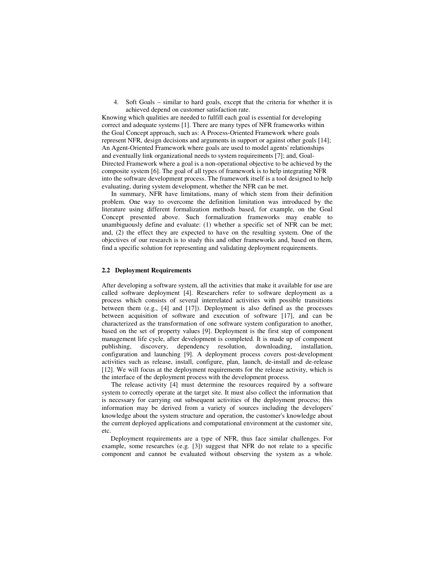4. Soft Goals – similar to hard goals, except that the criteria for whether it is achieved depend on customer satisfaction rate.

Knowing which qualities are needed to fulfill each goal is essential for developing correct and adequate systems [1]. There are many types of NFR frameworks within the Goal Concept approach, such as: A Process-Oriented Framework where goals represent NFR, design decisions and arguments in support or against other goals [14]; An Agent-Oriented Framework where goals are used to model agents' relationships and eventually link organizational needs to system requirements [7]; and, Goal-Directed Framework where a goal is a non-operational objective to be achieved by the composite system [6]. The goal of all types of framework is to help integrating NFR into the software development process. The framework itself is a tool designed to help evaluating, during system development, whether the NFR can be met.

In summary, NFR have limitations, many of which stem from their definition problem. One way to overcome the definition limitation was introduced by the literature using different formalization methods based, for example, on the Goal Concept presented above. Such formalization frameworks may enable to unambiguously define and evaluate: (1) whether a specific set of NFR can be met; and, (2) the effect they are expected to have on the resulting system. One of the objectives of our research is to study this and other frameworks and, based on them, find a specific solution for representing and validating deployment requirements.

#### **2.2 Deployment Requirements**

After developing a software system, all the activities that make it available for use are called software deployment [4]. Researchers refer to software deployment as a process which consists of several interrelated activities with possible transitions between them (e.g., [4] and [17]). Deployment is also defined as the processes between acquisition of software and execution of software [17], and can be characterized as the transformation of one software system configuration to another, based on the set of property values [9]. Deployment is the first step of component management life cycle, after development is completed. It is made up of component publishing, discovery, dependency resolution, downloading, installation, configuration and launching [9]. A deployment process covers post-development activities such as release, install, configure, plan, launch, de-install and de-release [12]. We will focus at the deployment requirements for the release activity, which is the interface of the deployment process with the development process.

The release activity [4] must determine the resources required by a software system to correctly operate at the target site. It must also collect the information that is necessary for carrying out subsequent activities of the deployment process; this information may be derived from a variety of sources including the developers' knowledge about the system structure and operation, the customer's knowledge about the current deployed applications and computational environment at the customer site, etc.

Deployment requirements are a type of NFR, thus face similar challenges. For example, some researches (e.g. [3]) suggest that NFR do not relate to a specific component and cannot be evaluated without observing the system as a whole.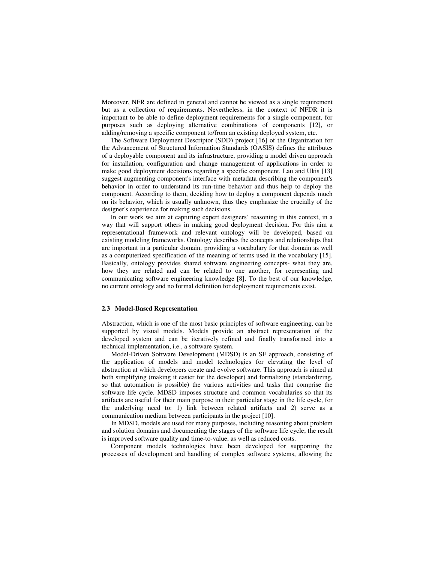Moreover, NFR are defined in general and cannot be viewed as a single requirement but as a collection of requirements. Nevertheless, in the context of NFDR it is important to be able to define deployment requirements for a single component, for purposes such as deploying alternative combinations of components [12], or adding/removing a specific component to/from an existing deployed system, etc.

The Software Deployment Descriptor (SDD) project [16] of the Organization for the Advancement of Structured Information Standards (OASIS) defines the attributes of a deployable component and its infrastructure, providing a model driven approach for installation, configuration and change management of applications in order to make good deployment decisions regarding a specific component. Lau and Ukis [13] suggest augmenting component's interface with metadata describing the component's behavior in order to understand its run-time behavior and thus help to deploy the component. According to them, deciding how to deploy a component depends much on its behavior, which is usually unknown, thus they emphasize the crucially of the designer's experience for making such decisions.

In our work we aim at capturing expert designers' reasoning in this context, in a way that will support others in making good deployment decision. For this aim a representational framework and relevant ontology will be developed, based on existing modeling frameworks. Ontology describes the concepts and relationships that are important in a particular domain, providing a vocabulary for that domain as well as a computerized specification of the meaning of terms used in the vocabulary [15]. Basically, ontology provides shared software engineering concepts- what they are, how they are related and can be related to one another, for representing and communicating software engineering knowledge [8]. To the best of our knowledge, no current ontology and no formal definition for deployment requirements exist.

#### **2.3 Model-Based Representation**

Abstraction, which is one of the most basic principles of software engineering, can be supported by visual models. Models provide an abstract representation of the developed system and can be iteratively refined and finally transformed into a technical implementation, i.e., a software system.

Model-Driven Software Development (MDSD) is an SE approach, consisting of the application of models and model technologies for elevating the level of abstraction at which developers create and evolve software. This approach is aimed at both simplifying (making it easier for the developer) and formalizing (standardizing, so that automation is possible) the various activities and tasks that comprise the software life cycle. MDSD imposes structure and common vocabularies so that its artifacts are useful for their main purpose in their particular stage in the life cycle, for the underlying need to: 1) link between related artifacts and 2) serve as a communication medium between participants in the project [10].

In MDSD, models are used for many purposes, including reasoning about problem and solution domains and documenting the stages of the software life cycle; the result is improved software quality and time-to-value, as well as reduced costs.

Component models technologies have been developed for supporting the processes of development and handling of complex software systems, allowing the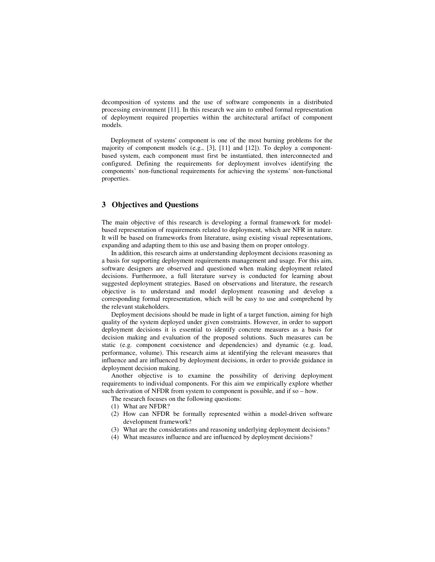decomposition of systems and the use of software components in a distributed processing environment [11]. In this research we aim to embed formal representation of deployment required properties within the architectural artifact of component models.

Deployment of systems' component is one of the most burning problems for the majority of component models (e.g., [3], [11] and [12]). To deploy a componentbased system, each component must first be instantiated, then interconnected and configured. Defining the requirements for deployment involves identifying the components' non-functional requirements for achieving the systems' non-functional properties.

# **3 Objectives and Questions**

The main objective of this research is developing a formal framework for modelbased representation of requirements related to deployment, which are NFR in nature. It will be based on frameworks from literature, using existing visual representations, expanding and adapting them to this use and basing them on proper ontology.

In addition, this research aims at understanding deployment decisions reasoning as a basis for supporting deployment requirements management and usage. For this aim, software designers are observed and questioned when making deployment related decisions. Furthermore, a full literature survey is conducted for learning about suggested deployment strategies. Based on observations and literature, the research objective is to understand and model deployment reasoning and develop a corresponding formal representation, which will be easy to use and comprehend by the relevant stakeholders.

Deployment decisions should be made in light of a target function, aiming for high quality of the system deployed under given constraints. However, in order to support deployment decisions it is essential to identify concrete measures as a basis for decision making and evaluation of the proposed solutions. Such measures can be static (e.g. component coexistence and dependencies) and dynamic (e.g. load, performance, volume). This research aims at identifying the relevant measures that influence and are influenced by deployment decisions, in order to provide guidance in deployment decision making.

Another objective is to examine the possibility of deriving deployment requirements to individual components. For this aim we empirically explore whether such derivation of NFDR from system to component is possible, and if so – how.

- The research focuses on the following questions:
- (1) What are NFDR?
- (2) How can NFDR be formally represented within a model-driven software development framework?
- (3) What are the considerations and reasoning underlying deployment decisions?
- (4) What measures influence and are influenced by deployment decisions?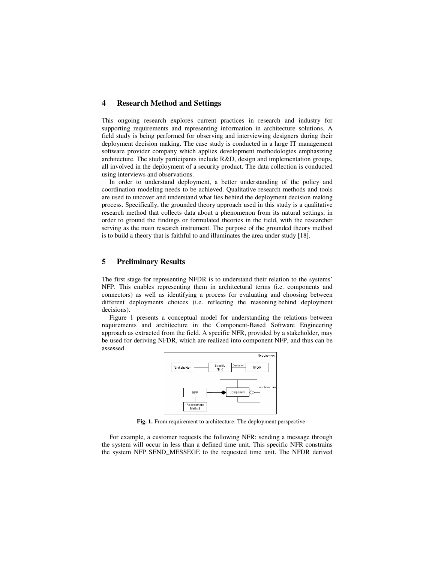# **4 Research Method and Settings**

This ongoing research explores current practices in research and industry for supporting requirements and representing information in architecture solutions. A field study is being performed for observing and interviewing designers during their deployment decision making. The case study is conducted in a large IT management software provider company which applies development methodologies emphasizing architecture. The study participants include R&D, design and implementation groups, all involved in the deployment of a security product. The data collection is conducted using interviews and observations.

In order to understand deployment, a better understanding of the policy and coordination modeling needs to be achieved. Qualitative research methods and tools are used to uncover and understand what lies behind the deployment decision making process. Specifically, the grounded theory approach used in this study is a qualitative research method that collects data about a phenomenon from its natural settings, in order to ground the findings or formulated theories in the field, with the researcher serving as the main research instrument. The purpose of the grounded theory method is to build a theory that is faithful to and illuminates the area under study [18].

## **5 Preliminary Results**

The first stage for representing NFDR is to understand their relation to the systems' NFP. This enables representing them in architectural terms (i.e. components and connectors) as well as identifying a process for evaluating and choosing between different deployments choices (i.e. reflecting the reasoning behind deployment decisions).

Figure 1 presents a conceptual model for understanding the relations between requirements and architecture in the Component-Based Software Engineering approach as extracted from the field. A specific NFR, provided by a stakeholder, may be used for deriving NFDR, which are realized into component NFP, and thus can be assessed.



**Fig. 1.** From requirement to architecture: The deployment perspective

For example, a customer requests the following NFR: sending a message through the system will occur in less than a defined time unit. This specific NFR constrains the system NFP SEND\_MESSEGE to the requested time unit. The NFDR derived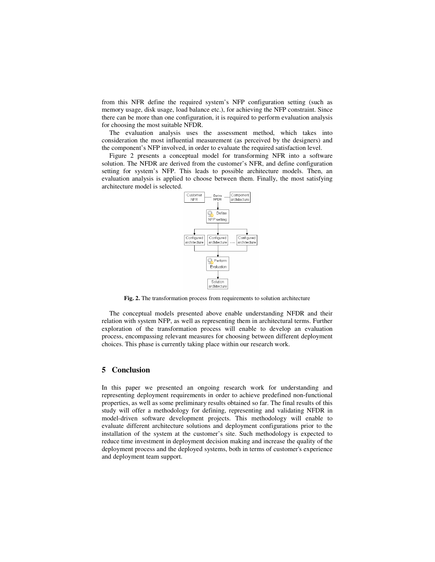from this NFR define the required system's NFP configuration setting (such as memory usage, disk usage, load balance etc.), for achieving the NFP constraint. Since there can be more than one configuration, it is required to perform evaluation analysis for choosing the most suitable NFDR.

The evaluation analysis uses the assessment method, which takes into consideration the most influential measurement (as perceived by the designers) and the component's NFP involved, in order to evaluate the required satisfaction level.

Figure 2 presents a conceptual model for transforming NFR into a software solution. The NFDR are derived from the customer's NFR, and define configuration setting for system's NFP. This leads to possible architecture models. Then, an evaluation analysis is applied to choose between them. Finally, the most satisfying architecture model is selected.



**Fig. 2.** The transformation process from requirements to solution architecture

The conceptual models presented above enable understanding NFDR and their relation with system NFP, as well as representing them in architectural terms. Further exploration of the transformation process will enable to develop an evaluation process, encompassing relevant measures for choosing between different deployment choices. This phase is currently taking place within our research work.

#### **5 Conclusion**

In this paper we presented an ongoing research work for understanding and representing deployment requirements in order to achieve predefined non-functional properties, as well as some preliminary results obtained so far. The final results of this study will offer a methodology for defining, representing and validating NFDR in model-driven software development projects. This methodology will enable to evaluate different architecture solutions and deployment configurations prior to the installation of the system at the customer's site. Such methodology is expected to reduce time investment in deployment decision making and increase the quality of the deployment process and the deployed systems, both in terms of customer's experience and deployment team support.